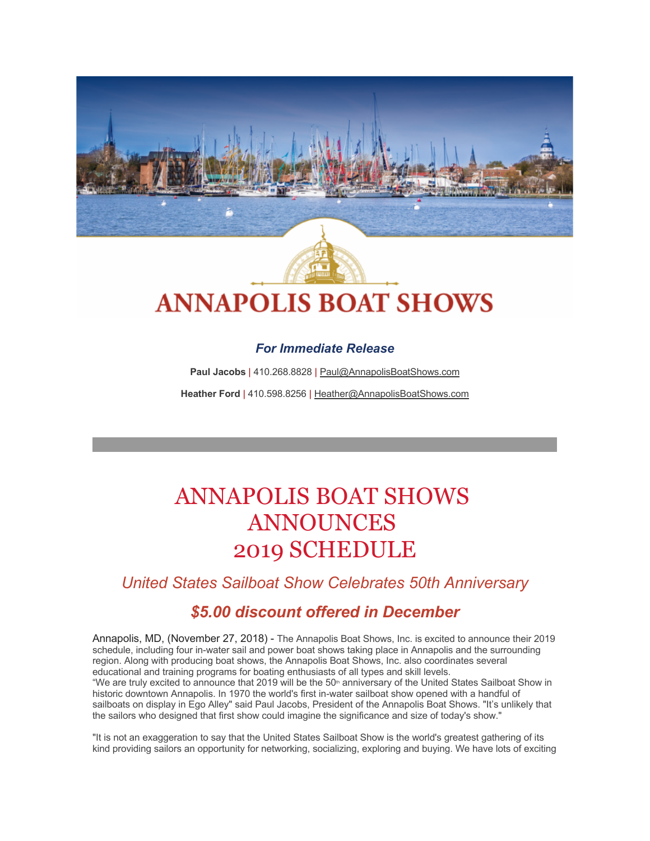

# **ANNAPOLIS BOAT SHOWS**

### *For Immediate Release*

**Paul Jacobs** | 410.268.8828 | Paul@AnnapolisBoatShows.com

**Heather Ford** | 410.598.8256 | Heather@AnnapolisBoatShows.com

## ANNAPOLIS BOAT SHOWS ANNOUNCES 2019 SCHEDULE

## *United States Sailboat Show Celebrates 50th Anniversary*

## *\$5.00 discount offered in December*

Annapolis, MD, (November 27, 2018) - The Annapolis Boat Shows, Inc. is excited to announce their 2019 schedule, including four in-water sail and power boat shows taking place in Annapolis and the surrounding region. Along with producing boat shows, the Annapolis Boat Shows, Inc. also coordinates several educational and training programs for boating enthusiasts of all types and skill levels. "We are truly excited to announce that 2019 will be the 50<sup>th</sup> anniversary of the United States Sailboat Show in historic downtown Annapolis. In 1970 the world's first in-water sailboat show opened with a handful of sailboats on display in Ego Alley" said Paul Jacobs, President of the Annapolis Boat Shows. "It's unlikely that the sailors who designed that first show could imagine the significance and size of today's show."

"It is not an exaggeration to say that the United States Sailboat Show is the world's greatest gathering of its kind providing sailors an opportunity for networking, socializing, exploring and buying. We have lots of exciting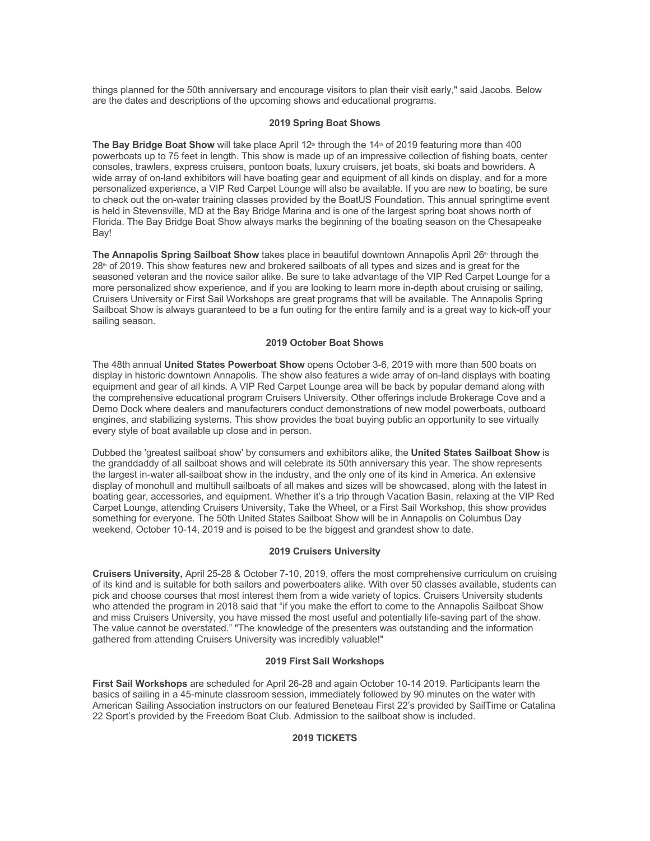things planned for the 50th anniversary and encourage visitors to plan their visit early," said Jacobs. Below are the dates and descriptions of the upcoming shows and educational programs.

#### **2019 Spring Boat Shows**

**The Bay Bridge Boat Show** will take place April 12<sup>th</sup> through the 14<sup>th</sup> of 2019 featuring more than 400 powerboats up to 75 feet in length. This show is made up of an impressive collection of fishing boats, center consoles, trawlers, express cruisers, pontoon boats, luxury cruisers, jet boats, ski boats and bowriders. A wide array of on-land exhibitors will have boating gear and equipment of all kinds on display, and for a more personalized experience, a VIP Red Carpet Lounge will also be available. If you are new to boating, be sure to check out the on-water training classes provided by the BoatUS Foundation. This annual springtime event is held in Stevensville, MD at the Bay Bridge Marina and is one of the largest spring boat shows north of Florida. The Bay Bridge Boat Show always marks the beginning of the boating season on the Chesapeake Bay!

**The Annapolis Spring Sailboat Show** takes place in beautiful downtown Annapolis April 26<sup>th</sup> through the 28<sup>th</sup> of 2019. This show features new and brokered sailboats of all types and sizes and is great for the seasoned veteran and the novice sailor alike. Be sure to take advantage of the VIP Red Carpet Lounge for a more personalized show experience, and if you are looking to learn more in-depth about cruising or sailing, Cruisers University or First Sail Workshops are great programs that will be available. The Annapolis Spring Sailboat Show is always guaranteed to be a fun outing for the entire family and is a great way to kick-off your sailing season.

#### **2019 October Boat Shows**

The 48th annual **United States Powerboat Show** opens October 3-6, 2019 with more than 500 boats on display in historic downtown Annapolis. The show also features a wide array of on-land displays with boating equipment and gear of all kinds. A VIP Red Carpet Lounge area will be back by popular demand along with the comprehensive educational program Cruisers University. Other offerings include Brokerage Cove and a Demo Dock where dealers and manufacturers conduct demonstrations of new model powerboats, outboard engines, and stabilizing systems. This show provides the boat buying public an opportunity to see virtually every style of boat available up close and in person.

Dubbed the 'greatest sailboat show' by consumers and exhibitors alike, the **United States Sailboat Show** is the granddaddy of all sailboat shows and will celebrate its 50th anniversary this year. The show represents the largest in-water all-sailboat show in the industry, and the only one of its kind in America. An extensive display of monohull and multihull sailboats of all makes and sizes will be showcased, along with the latest in boating gear, accessories, and equipment. Whether it's a trip through Vacation Basin, relaxing at the VIP Red Carpet Lounge, attending Cruisers University, Take the Wheel, or a First Sail Workshop, this show provides something for everyone. The 50th United States Sailboat Show will be in Annapolis on Columbus Day weekend, October 10-14, 2019 and is poised to be the biggest and grandest show to date.

#### **2019 Cruisers University**

**Cruisers University,** April 25-28 & October 7-10, 2019, offers the most comprehensive curriculum on cruising of its kind and is suitable for both sailors and powerboaters alike. With over 50 classes available, students can pick and choose courses that most interest them from a wide variety of topics. Cruisers University students who attended the program in 2018 said that "if you make the effort to come to the Annapolis Sailboat Show and miss Cruisers University, you have missed the most useful and potentially life-saving part of the show. The value cannot be overstated." "The knowledge of the presenters was outstanding and the information gathered from attending Cruisers University was incredibly valuable!"

#### **2019 First Sail Workshops**

**First Sail Workshops** are scheduled for April 26-28 and again October 10-14 2019. Participants learn the basics of sailing in a 45-minute classroom session, immediately followed by 90 minutes on the water with American Sailing Association instructors on our featured Beneteau First 22's provided by SailTime or Catalina 22 Sport's provided by the Freedom Boat Club. Admission to the sailboat show is included.

#### **2019 TICKETS**